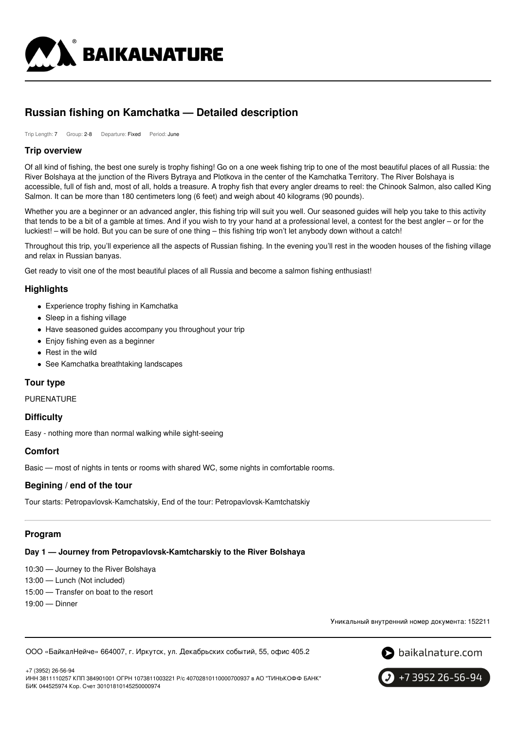

# **Russian fishing on Kamchatka — Detailed description**

Trip Length: 7 Group: 2-8 Departure: Fixed Period: June

# **Trip overview**

Of all kind of fishing, the best one surely is trophy fishing! Go on a one week fishing trip to one of the most beautiful places of all Russia: the River Bolshaya at the junction of the Rivers Bytraya and Plotkova in the center of the Kamchatka Territory. The River Bolshaya is accessible, full of fish and, most of all, holds a treasure. A trophy fish that every angler dreams to reel: the Chinook Salmon, also called King Salmon. It can be more than 180 centimeters long (6 feet) and weigh about 40 kilograms (90 pounds).

Whether you are a beginner or an advanced angler, this fishing trip will suit you well. Our seasoned guides will help you take to this activity that tends to be a bit of a gamble at times. And if you wish to try your hand at a professional level, a contest for the best angler – or for the luckiest! – will be hold. But you can be sure of one thing – this fishing trip won't let anybody down without a catch!

Throughout this trip, you'll experience all the aspects of Russian fishing. In the evening you'll rest in the wooden houses of the fishing village and relax in Russian banyas.

Get ready to visit one of the most beautiful places of all Russia and become a salmon fishing enthusiast!

# **Highlights**

- Experience trophy fishing in Kamchatka
- Sleep in a fishing village
- Have seasoned guides accompany you throughout your trip
- Enjoy fishing even as a beginner
- Rest in the wild
- See Kamchatka breathtaking landscapes

# **Tour type**

PURENATURE

# **Difficulty**

Easy - nothing more than normal walking while sight-seeing

# **Comfort**

Basic — most of nights in tents or rooms with shared WC, some nights in comfortable rooms.

# **Begining / end of the tour**

Tour starts: Petropavlovsk-Kamchatskiy, End of the tour: Petropavlovsk-Kamtchatskiy

# **Program**

# **Day 1 — Journey from Petropavlovsk-Kamtcharskiy to the River Bolshaya**

10:30 — Journey to the River Bolshaya

- 13:00 Lunch (Not included)
- 15:00 Transfer on boat to the resort
- 19:00 Dinner

Уникальный внутренний номер документа: 152211

ООО «БайкалНейче» 664007, г. Иркутск, ул. Декабрьских событий, 55, офис 405.2



+7 (3952) 26-56-94 ИНН 3811110257 КПП 384901001 ОГРН 1073811003221 Р/с 40702810110000700937 в АО "ТИНЬКОФФ БАНК" БИК 044525974 Кор. Счет 30101810145250000974

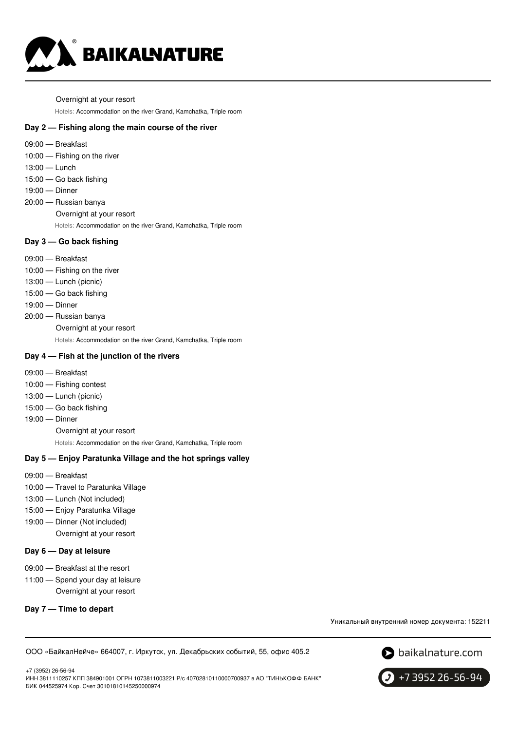

Overnight at your resort

Hotels: Accommodation on the river Grand, Kamchatka, Triple room

# **Day 2 — Fishing along the main course of the river**

- 09:00 Breakfast
- 10:00 Fishing on the river
- 13:00 Lunch
- 15:00 Go back fishing
- 19:00 Dinner
- 20:00 Russian banya Overnight at your resort
	- Hotels: Accommodation on the river Grand, Kamchatka, Triple room

### **Day 3 — Go back fishing**

- 09:00 Breakfast
- 10:00 Fishing on the river
- 13:00 Lunch (picnic)
- 15:00 Go back fishing
- 19:00 Dinner
- 20:00 Russian banya
	- Overnight at your resort

Hotels: Accommodation on the river Grand, Kamchatka, Triple room

# **Day 4 — Fish at the junction of the rivers**

- 09:00 Breakfast
- 10:00 Fishing contest
- 13:00 Lunch (picnic)
- 15:00 Go back fishing
- 19:00 Dinner

Overnight at your resort

Hotels: Accommodation on the river Grand, Kamchatka, Triple room

#### **Day 5 — Enjoy Paratunka Village and the hot springs valley**

- 09:00 Breakfast
- 10:00 Travel to Paratunka Village
- 13:00 Lunch (Not included)
- 15:00 Enjoy Paratunka Village
- 19:00 Dinner (Not included)

Overnight at your resort

#### **Day 6 — Day at leisure**

- 09:00 Breakfast at the resort
- 11:00 Spend your day at leisure Overnight at your resort
- **Day 7 — Time to depart**

Уникальный внутренний номер документа: 152211

ООО «БайкалНейче» 664007, г. Иркутск, ул. Декабрьских событий, 55, офис 405.2



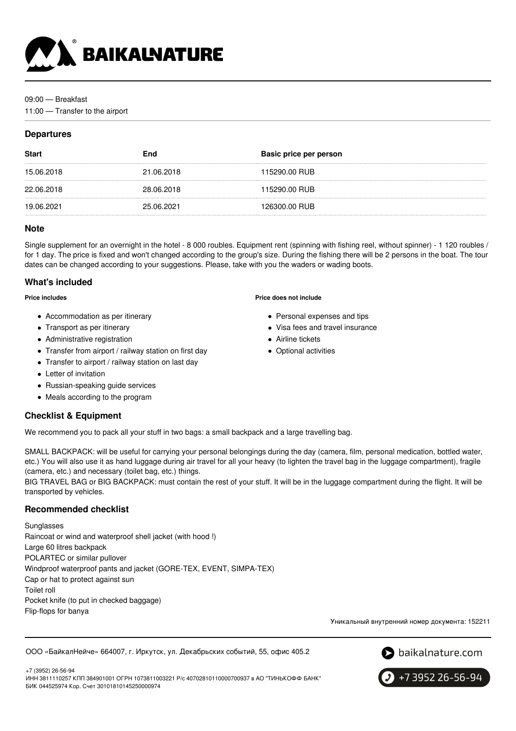

### 09:00 — Breakfast

11:00 — Transfer to the airport

# **Departures**

| <b>Start</b> | <b>End</b> | Basic price per person |
|--------------|------------|------------------------|
| 15.06.2018   | 21.06.2018 | 115290.00 RUB          |
| 22.06.2018   | 28.06.2018 | 115290.00 RUB          |
| 19.06.2021   | 25.06.2021 | 126300.00 RUB          |
|              |            |                        |

# **Note**

Single supplement for an overnight in the hotel - 8 000 roubles. Equipment rent (spinning with fishing reel, without spinner) - 1 120 roubles / for 1 day. The price is fixed and won't changed according to the group's size. During the fishing there will be 2 persons in the boat. The tour dates can be changed according to your suggestions. Please, take with you the waders or wading boots.

# **What's included**

**Price includes**

- Accommodation as per itinerary
- Transport as per itinerary
- Administrative registration
- Transfer from airport / railway station on first day
- Transfer to airport / railway station on last day
- Letter of invitation
- Russian-speaking guide services
- Meals according to the program

# **Checklist & Equipment**

We recommend you to pack all your stuff in two bags: a small backpack and a large travelling bag.

SMALL BACKPACK: will be useful for carrying your personal belongings during the day (camera, film, personal medication, bottled water, etc.) You will also use it as hand luggage during air travel for all your heavy (to lighten the travel bag in the luggage compartment), fragile (camera, etc.) and necessary (toilet bag, etc.) things.

BIG TRAVEL BAG or BIG BACKPACK: must contain the rest of your stuff. It will be in the luggage compartment during the flight. It will be transported by vehicles.

# **Recommended checklist**

Sunglasses Raincoat or wind and waterproof shell jacket (with hood !) Large 60 litres backpack POLARTEC or similar pullover Windproof waterproof pants and jacket (GORE-TEX, EVENT, SIMPA-TEX) Cap or hat to protect against sun Toilet roll Pocket knife (to put in checked baggage) Flip-flops for banya

Уникальный внутренний номер документа: 152211

ООО «БайкалНейче» 664007, г. Иркутск, ул. Декабрьских событий, 55, офис 405.2





 $\big\}$  +7 3952 26-56-94

#### **Price does not include**

- Personal expenses and tips
- Visa fees and travel insurance
- Airline tickets
- Optional activities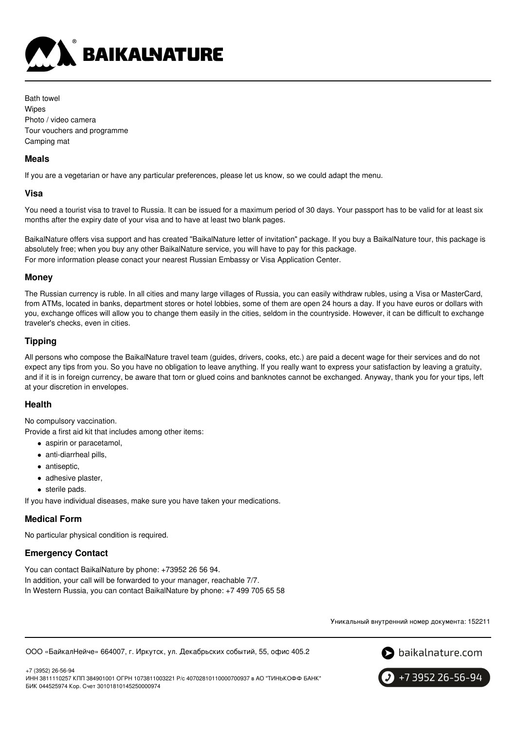

Bath towel Wipes Photo / video camera Tour vouchers and programme Camping mat

# **Meals**

If you are a vegetarian or have any particular preferences, please let us know, so we could adapt the menu.

# **Visa**

You need a tourist visa to travel to Russia. It can be issued for a maximum period of 30 days. Your passport has to be valid for at least six months after the expiry date of your visa and to have at least two blank pages.

BaikalNature offers visa support and has created "BaikalNature letter of invitation" package. If you buy a BaikalNature tour, this package is absolutely free; when you buy any other BaikalNature service, you will have to pay for this package. For more information please conact your nearest Russian Embassy or Visa Application Center.

# **Money**

The Russian currency is ruble. In all cities and many large villages of Russia, you can easily withdraw rubles, using a Visa or MasterCard, from ATMs, located in banks, department stores or hotel lobbies, some of them are open 24 hours a day. If you have euros or dollars with you, exchange offices will allow you to change them easily in the cities, seldom in the countryside. However, it can be difficult to exchange traveler's checks, even in cities.

# **Tipping**

All persons who compose the BaikalNature travel team (guides, drivers, cooks, etc.) are paid a decent wage for their services and do not expect any tips from you. So you have no obligation to leave anything. If you really want to express your satisfaction by leaving a gratuity, and if it is in foreign currency, be aware that torn or glued coins and banknotes cannot be exchanged. Anyway, thank you for your tips, left at your discretion in envelopes.

# **Health**

No compulsory vaccination.

Provide a first aid kit that includes among other items:

- aspirin or paracetamol,
- anti-diarrheal pills,
- antiseptic,
- adhesive plaster.
- sterile pads.

If you have individual diseases, make sure you have taken your medications.

# **Medical Form**

No particular physical condition is required.

# **Emergency Contact**

You can contact BaikalNature by phone: +73952 26 56 94. In addition, your call will be forwarded to your manager, reachable 7/7. In Western Russia, you can contact BaikalNature by phone: +7 499 705 65 58

Уникальный внутренний номер документа: 152211

ООО «БайкалНейче» 664007, г. Иркутск, ул. Декабрьских событий, 55, офис 405.2



+7 3952 26-56-94

+7 (3952) 26-56-94 ИНН 3811110257 КПП 384901001 ОГРН 1073811003221 Р/с 40702810110000700937 в АО "ТИНЬКОФФ БАНК" БИК 044525974 Кор. Счет 30101810145250000974